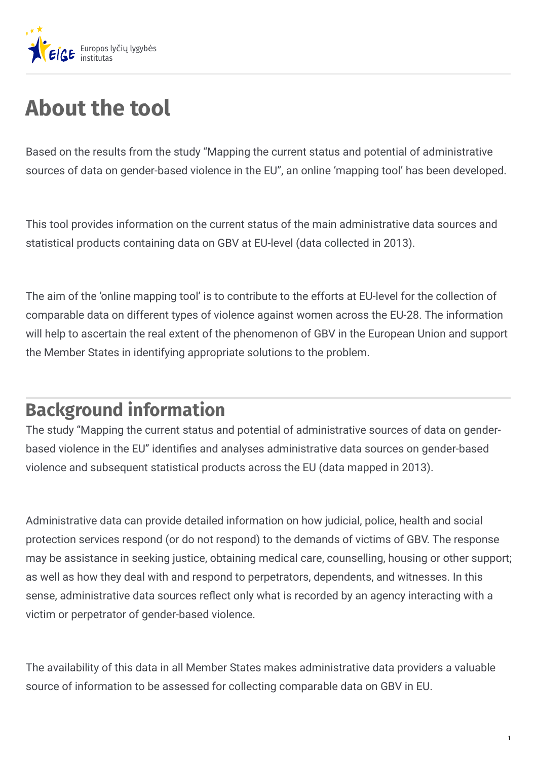

## **About the tool**

Based on the results from the study "Mapping the current status and potential of administrative sources of data on gender-based violence in the EU", an online 'mapping tool' has been developed.

This tool provides information on the current status of the main administrative data sources and statistical products containing data on GBV at EU-level (data collected in 2013).

The aim of the 'online mapping tool' is to contribute to the efforts at EU-level for the collection of comparable data on different types of violence against women across the EU-28. The information will help to ascertain the real extent of the phenomenon of GBV in the European Union and support the Member States in identifying appropriate solutions to the problem.

## **Background information**

The study "Mapping the current status and potential of administrative sources of data on genderbased violence in the EU" identifies and analyses administrative data sources on gender-based violence and subsequent statistical products across the EU (data mapped in 2013).

Administrative data can provide detailed information on how judicial, police, health and social protection services respond (or do not respond) to the demands of victims of GBV. The response may be assistance in seeking justice, obtaining medical care, counselling, housing or other support; as well as how they deal with and respond to perpetrators, dependents, and witnesses. In this sense, administrative data sources reflect only what is recorded by an agency interacting with a victim or perpetrator of gender-based violence.

The availability of this data in all Member States makes administrative data providers a valuable source of information to be assessed for collecting comparable data on GBV in EU.